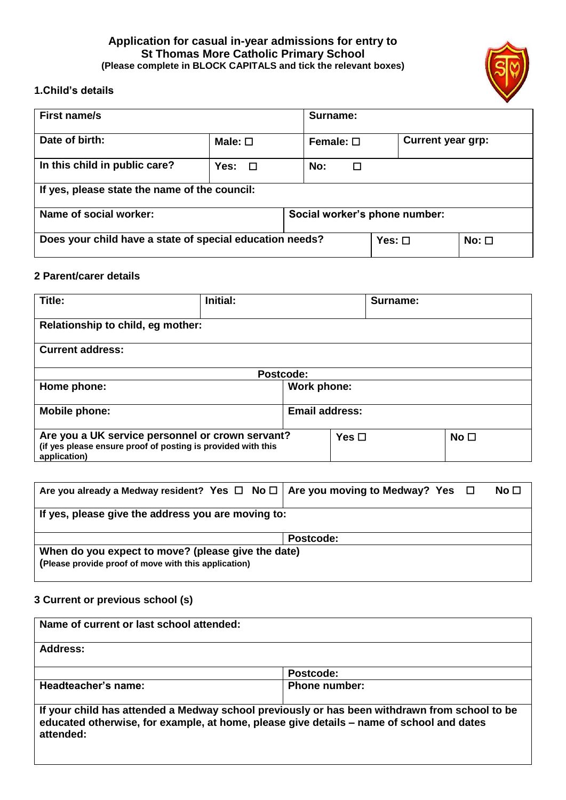## **Application for casual in-year admissions for entry to St Thomas More Catholic Primary School (Please complete in BLOCK CAPITALS and tick the relevant boxes)**



## **1.Child's details**

| <b>First name/s</b>                                      |                 | Surname:                      |             |                          |            |
|----------------------------------------------------------|-----------------|-------------------------------|-------------|--------------------------|------------|
| Date of birth:                                           | Male: $\square$ | Female: $\square$             |             | <b>Current year grp:</b> |            |
| In this child in public care?                            | Yes:<br>$\Box$  | No:                           | □           |                          |            |
| If yes, please state the name of the council:            |                 |                               |             |                          |            |
| Name of social worker:                                   |                 | Social worker's phone number: |             |                          |            |
| Does your child have a state of special education needs? |                 |                               | Yes: $\Box$ |                          | $No: \Box$ |

#### **2 Parent/carer details**

| Title:                                                                                                                           | Initial: | Surname:              |                 |
|----------------------------------------------------------------------------------------------------------------------------------|----------|-----------------------|-----------------|
| Relationship to child, eg mother:                                                                                                |          |                       |                 |
| <b>Current address:</b>                                                                                                          |          |                       |                 |
| Postcode:                                                                                                                        |          |                       |                 |
| Home phone:                                                                                                                      |          | Work phone:           |                 |
| <b>Mobile phone:</b>                                                                                                             |          | <b>Email address:</b> |                 |
| Are you a UK service personnel or crown servant?<br>(if yes please ensure proof of posting is provided with this<br>application) |          | Yes $\Box$            | No <sub>1</sub> |

| Are you already a Medway resident? Yes $\Box$ No $\Box$   Are you moving to Medway? Yes $\Box$             | No <sub>1</sub> |  |  |
|------------------------------------------------------------------------------------------------------------|-----------------|--|--|
| If yes, please give the address you are moving to:                                                         |                 |  |  |
|                                                                                                            | Postcode:       |  |  |
| When do you expect to move? (please give the date)<br>(Please provide proof of move with this application) |                 |  |  |

# **3 Current or previous school (s)**

| Name of current or last school attended: |                                                                                                                                                                                           |
|------------------------------------------|-------------------------------------------------------------------------------------------------------------------------------------------------------------------------------------------|
| Address:                                 |                                                                                                                                                                                           |
|                                          | Postcode:                                                                                                                                                                                 |
| Headteacher's name:                      | <b>Phone number:</b>                                                                                                                                                                      |
| attended:                                | If your child has attended a Medway school previously or has been withdrawn from school to be<br>educated otherwise, for example, at home, please give details - name of school and dates |